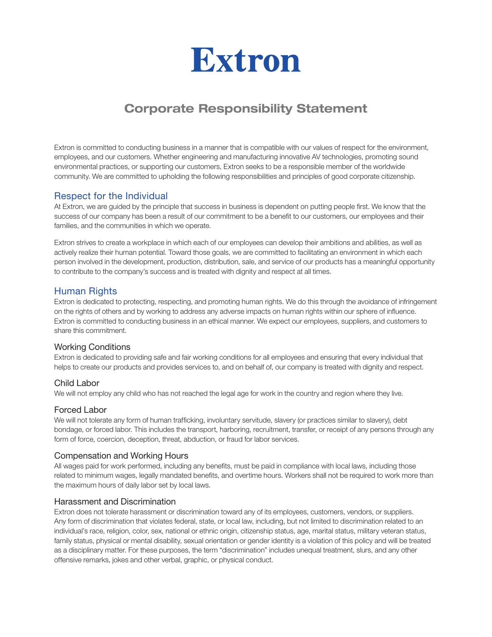

# Corporate Responsibility Statement

Extron is committed to conducting business in a manner that is compatible with our values of respect for the environment, employees, and our customers. Whether engineering and manufacturing innovative AV technologies, promoting sound environmental practices, or supporting our customers, Extron seeks to be a responsible member of the worldwide community. We are committed to upholding the following responsibilities and principles of good corporate citizenship.

# Respect for the Individual

At Extron, we are guided by the principle that success in business is dependent on putting people first. We know that the success of our company has been a result of our commitment to be a benefit to our customers, our employees and their families, and the communities in which we operate.

Extron strives to create a workplace in which each of our employees can develop their ambitions and abilities, as well as actively realize their human potential. Toward those goals, we are committed to facilitating an environment in which each person involved in the development, production, distribution, sale, and service of our products has a meaningful opportunity to contribute to the company's success and is treated with dignity and respect at all times.

# Human Rights

Extron is dedicated to protecting, respecting, and promoting human rights. We do this through the avoidance of infringement on the rights of others and by working to address any adverse impacts on human rights within our sphere of influence. Extron is committed to conducting business in an ethical manner. We expect our employees, suppliers, and customers to share this commitment.

#### Working Conditions

Extron is dedicated to providing safe and fair working conditions for all employees and ensuring that every individual that helps to create our products and provides services to, and on behalf of, our company is treated with dignity and respect.

## Child Labor

We will not employ any child who has not reached the legal age for work in the country and region where they live.

#### Forced Labor

We will not tolerate any form of human trafficking, involuntary servitude, slavery (or practices similar to slavery), debt bondage, or forced labor. This includes the transport, harboring, recruitment, transfer, or receipt of any persons through any form of force, coercion, deception, threat, abduction, or fraud for labor services.

## Compensation and Working Hours

All wages paid for work performed, including any benefits, must be paid in compliance with local laws, including those related to minimum wages, legally mandated benefits, and overtime hours. Workers shall not be required to work more than the maximum hours of daily labor set by local laws.

#### Harassment and Discrimination

Extron does not tolerate harassment or discrimination toward any of its employees, customers, vendors, or suppliers. Any form of discrimination that violates federal, state, or local law, including, but not limited to discrimination related to an individual's race, religion, color, sex, national or ethnic origin, citizenship status, age, marital status, military veteran status, family status, physical or mental disability, sexual orientation or gender identity is a violation of this policy and will be treated as a disciplinary matter. For these purposes, the term "discrimination" includes unequal treatment, slurs, and any other offensive remarks, jokes and other verbal, graphic, or physical conduct.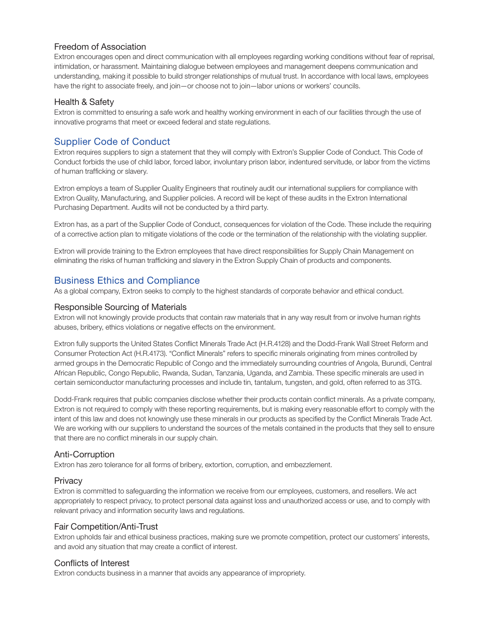## Freedom of Association

Extron encourages open and direct communication with all employees regarding working conditions without fear of reprisal, intimidation, or harassment. Maintaining dialogue between employees and management deepens communication and understanding, making it possible to build stronger relationships of mutual trust. In accordance with local laws, employees have the right to associate freely, and join—or choose not to join—labor unions or workers' councils.

## Health & Safety

Extron is committed to ensuring a safe work and healthy working environment in each of our facilities through the use of innovative programs that meet or exceed federal and state regulations.

# Supplier Code of Conduct

Extron requires suppliers to sign a statement that they will comply with Extron's Supplier Code of Conduct. This Code of Conduct forbids the use of child labor, forced labor, involuntary prison labor, indentured servitude, or labor from the victims of human trafficking or slavery.

Extron employs a team of Supplier Quality Engineers that routinely audit our international suppliers for compliance with Extron Quality, Manufacturing, and Supplier policies. A record will be kept of these audits in the Extron International Purchasing Department. Audits will not be conducted by a third party.

Extron has, as a part of the Supplier Code of Conduct, consequences for violation of the Code. These include the requiring of a corrective action plan to mitigate violations of the code or the termination of the relationship with the violating supplier.

Extron will provide training to the Extron employees that have direct responsibilities for Supply Chain Management on eliminating the risks of human trafficking and slavery in the Extron Supply Chain of products and components.

# Business Ethics and Compliance

As a global company, Extron seeks to comply to the highest standards of corporate behavior and ethical conduct.

## Responsible Sourcing of Materials

Extron will not knowingly provide products that contain raw materials that in any way result from or involve human rights abuses, bribery, ethics violations or negative effects on the environment.

Extron fully supports the United States Conflict Minerals Trade Act (H.R.4128) and the Dodd-Frank Wall Street Reform and Consumer Protection Act (H.R.4173). "Conflict Minerals" refers to specific minerals originating from mines controlled by armed groups in the Democratic Republic of Congo and the immediately surrounding countries of Angola, Burundi, Central African Republic, Congo Republic, Rwanda, Sudan, Tanzania, Uganda, and Zambia. These specific minerals are used in certain semiconductor manufacturing processes and include tin, tantalum, tungsten, and gold, often referred to as 3TG.

Dodd-Frank requires that public companies disclose whether their products contain conflict minerals. As a private company, Extron is not required to comply with these reporting requirements, but is making every reasonable effort to comply with the intent of this law and does not knowingly use these minerals in our products as specified by the Conflict Minerals Trade Act. We are working with our suppliers to understand the sources of the metals contained in the products that they sell to ensure that there are no conflict minerals in our supply chain.

## Anti-Corruption

Extron has zero tolerance for all forms of bribery, extortion, corruption, and embezzlement.

## **Privacy**

Extron is committed to safeguarding the information we receive from our employees, customers, and resellers. We act appropriately to respect privacy, to protect personal data against loss and unauthorized access or use, and to comply with relevant privacy and information security laws and regulations.

# Fair Competition/Anti-Trust

Extron upholds fair and ethical business practices, making sure we promote competition, protect our customers' interests, and avoid any situation that may create a conflict of interest.

## Conflicts of Interest

Extron conducts business in a manner that avoids any appearance of impropriety.